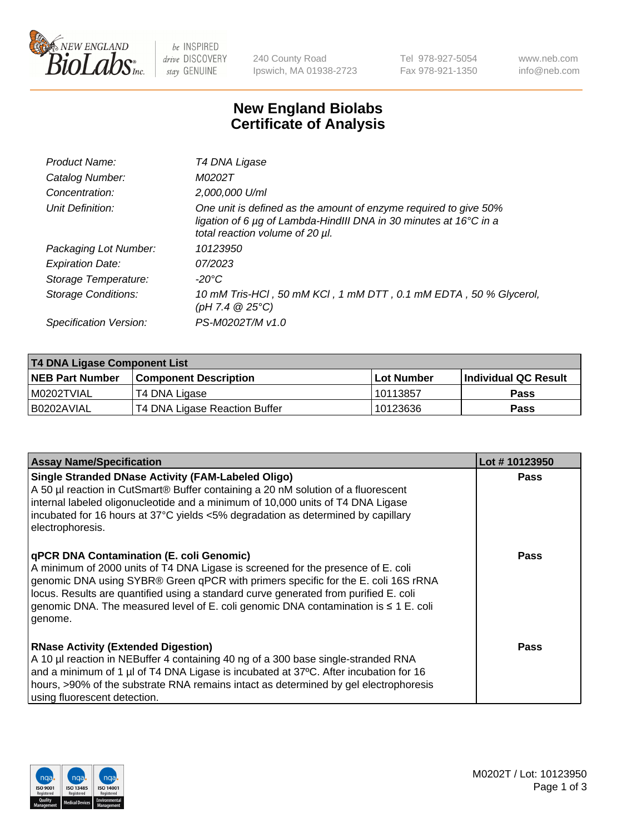

 $be$  INSPIRED drive DISCOVERY stay GENUINE

240 County Road Ipswich, MA 01938-2723 Tel 978-927-5054 Fax 978-921-1350 www.neb.com info@neb.com

## **New England Biolabs Certificate of Analysis**

| Product Name:           | T4 DNA Ligase                                                                                                                                                            |
|-------------------------|--------------------------------------------------------------------------------------------------------------------------------------------------------------------------|
| Catalog Number:         | M0202T                                                                                                                                                                   |
| Concentration:          | 2,000,000 U/ml                                                                                                                                                           |
| Unit Definition:        | One unit is defined as the amount of enzyme required to give 50%<br>ligation of 6 µg of Lambda-HindIII DNA in 30 minutes at 16°C in a<br>total reaction volume of 20 µl. |
| Packaging Lot Number:   | 10123950                                                                                                                                                                 |
| <b>Expiration Date:</b> | 07/2023                                                                                                                                                                  |
| Storage Temperature:    | $-20^{\circ}$ C                                                                                                                                                          |
| Storage Conditions:     | 10 mM Tris-HCl, 50 mM KCl, 1 mM DTT, 0.1 mM EDTA, 50 % Glycerol,<br>(pH 7.4 $@25°C$ )                                                                                    |
| Specification Version:  | PS-M0202T/M v1.0                                                                                                                                                         |

| T4 DNA Ligase Component List |                               |            |                      |  |  |
|------------------------------|-------------------------------|------------|----------------------|--|--|
| <b>NEB Part Number</b>       | <b>Component Description</b>  | Lot Number | Individual QC Result |  |  |
| I M0202TVIAL                 | T4 DNA Ligase                 | 10113857   | <b>Pass</b>          |  |  |
| I B0202AVIAL                 | T4 DNA Ligase Reaction Buffer | 10123636   | <b>Pass</b>          |  |  |

| <b>Assay Name/Specification</b>                                                                                                                                                                                                                                                                                                                                                                             | Lot #10123950 |
|-------------------------------------------------------------------------------------------------------------------------------------------------------------------------------------------------------------------------------------------------------------------------------------------------------------------------------------------------------------------------------------------------------------|---------------|
| <b>Single Stranded DNase Activity (FAM-Labeled Oligo)</b><br>A 50 µl reaction in CutSmart® Buffer containing a 20 nM solution of a fluorescent<br>internal labeled oligonucleotide and a minimum of 10,000 units of T4 DNA Ligase<br>incubated for 16 hours at 37°C yields <5% degradation as determined by capillary<br>electrophoresis.                                                                   | <b>Pass</b>   |
| qPCR DNA Contamination (E. coli Genomic)<br>A minimum of 2000 units of T4 DNA Ligase is screened for the presence of E. coli<br>genomic DNA using SYBR® Green qPCR with primers specific for the E. coli 16S rRNA<br>locus. Results are quantified using a standard curve generated from purified E. coli<br>genomic DNA. The measured level of E. coli genomic DNA contamination is ≤ 1 E. coli<br>genome. | <b>Pass</b>   |
| <b>RNase Activity (Extended Digestion)</b><br>A 10 µl reaction in NEBuffer 4 containing 40 ng of a 300 base single-stranded RNA<br>and a minimum of 1 µl of T4 DNA Ligase is incubated at 37°C. After incubation for 16<br>hours, >90% of the substrate RNA remains intact as determined by gel electrophoresis<br>using fluorescent detection.                                                             | <b>Pass</b>   |

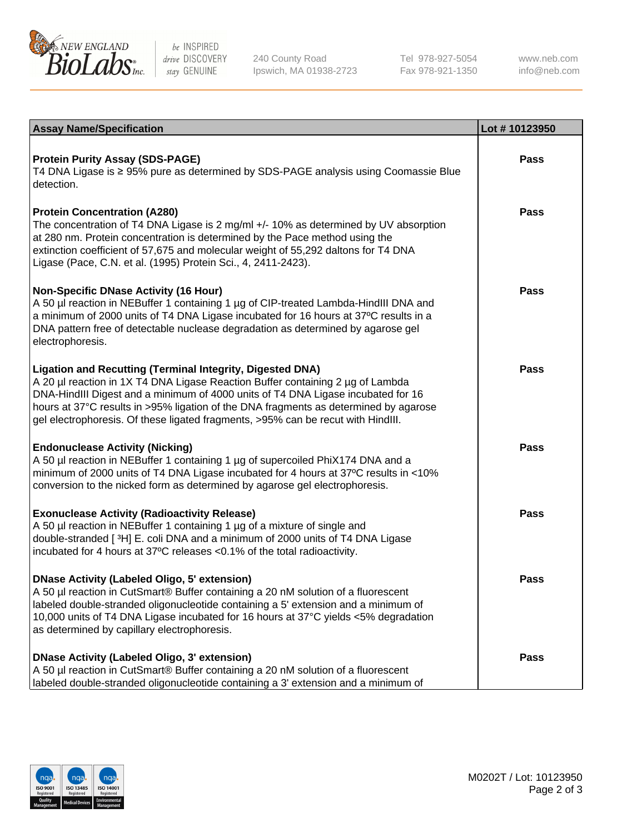

be INSPIRED drive DISCOVERY stay GENUINE

240 County Road Ipswich, MA 01938-2723 Tel 978-927-5054 Fax 978-921-1350

www.neb.com info@neb.com

| <b>Assay Name/Specification</b>                                                                                                                                                                                                                                                                                                                                                                             | Lot #10123950 |
|-------------------------------------------------------------------------------------------------------------------------------------------------------------------------------------------------------------------------------------------------------------------------------------------------------------------------------------------------------------------------------------------------------------|---------------|
| <b>Protein Purity Assay (SDS-PAGE)</b><br>T4 DNA Ligase is ≥ 95% pure as determined by SDS-PAGE analysis using Coomassie Blue<br>detection.                                                                                                                                                                                                                                                                 | <b>Pass</b>   |
| <b>Protein Concentration (A280)</b><br>The concentration of T4 DNA Ligase is 2 mg/ml +/- 10% as determined by UV absorption<br>at 280 nm. Protein concentration is determined by the Pace method using the<br>extinction coefficient of 57,675 and molecular weight of 55,292 daltons for T4 DNA<br>Ligase (Pace, C.N. et al. (1995) Protein Sci., 4, 2411-2423).                                           | <b>Pass</b>   |
| <b>Non-Specific DNase Activity (16 Hour)</b><br>A 50 µl reaction in NEBuffer 1 containing 1 µg of CIP-treated Lambda-HindIII DNA and<br>a minimum of 2000 units of T4 DNA Ligase incubated for 16 hours at 37°C results in a<br>DNA pattern free of detectable nuclease degradation as determined by agarose gel<br>electrophoresis.                                                                        | <b>Pass</b>   |
| Ligation and Recutting (Terminal Integrity, Digested DNA)<br>A 20 µl reaction in 1X T4 DNA Ligase Reaction Buffer containing 2 µg of Lambda<br>DNA-HindIII Digest and a minimum of 4000 units of T4 DNA Ligase incubated for 16<br>hours at 37°C results in >95% ligation of the DNA fragments as determined by agarose<br>gel electrophoresis. Of these ligated fragments, >95% can be recut with HindIII. | Pass          |
| <b>Endonuclease Activity (Nicking)</b><br>A 50 µl reaction in NEBuffer 1 containing 1 µg of supercoiled PhiX174 DNA and a<br>minimum of 2000 units of T4 DNA Ligase incubated for 4 hours at 37°C results in <10%<br>conversion to the nicked form as determined by agarose gel electrophoresis.                                                                                                            | <b>Pass</b>   |
| <b>Exonuclease Activity (Radioactivity Release)</b><br>A 50 µl reaction in NEBuffer 1 containing 1 µg of a mixture of single and<br>double-stranded [3H] E. coli DNA and a minimum of 2000 units of T4 DNA Ligase<br>incubated for 4 hours at 37°C releases <0.1% of the total radioactivity.                                                                                                               | <b>Pass</b>   |
| <b>DNase Activity (Labeled Oligo, 5' extension)</b><br>A 50 µl reaction in CutSmart® Buffer containing a 20 nM solution of a fluorescent<br>labeled double-stranded oligonucleotide containing a 5' extension and a minimum of<br>10,000 units of T4 DNA Ligase incubated for 16 hours at 37°C yields <5% degradation<br>as determined by capillary electrophoresis.                                        | <b>Pass</b>   |
| <b>DNase Activity (Labeled Oligo, 3' extension)</b><br>A 50 µl reaction in CutSmart® Buffer containing a 20 nM solution of a fluorescent<br>labeled double-stranded oligonucleotide containing a 3' extension and a minimum of                                                                                                                                                                              | <b>Pass</b>   |